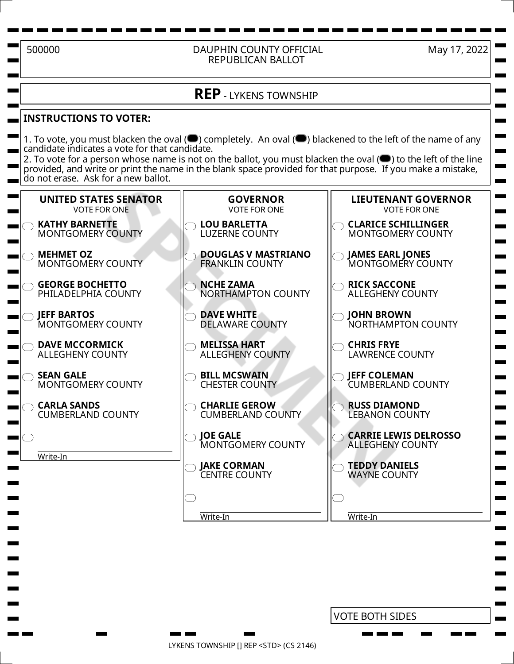## 500000 DAUPHIN COUNTY OFFICIAL REPUBLICAN BALLOT

May 17, 2022

## **REP** - LYKENS TOWNSHIP

## **INSTRUCTIONS TO VOTER:**

1. To vote, you must blacken the oval ( $\blacksquare$ ) completely. An oval ( $\blacksquare$ ) blackened to the left of the name of any candidate indicates a vote for that candidate.

2. To vote for a person whose name is not on the ballot, you must blacken the oval ( $\blacksquare$ ) to the left of the line provided, and write or print the name in the blank space provided for that purpose. If you make a mistake, do not erase. Ask for a new ballot.



VOTE BOTH SIDES